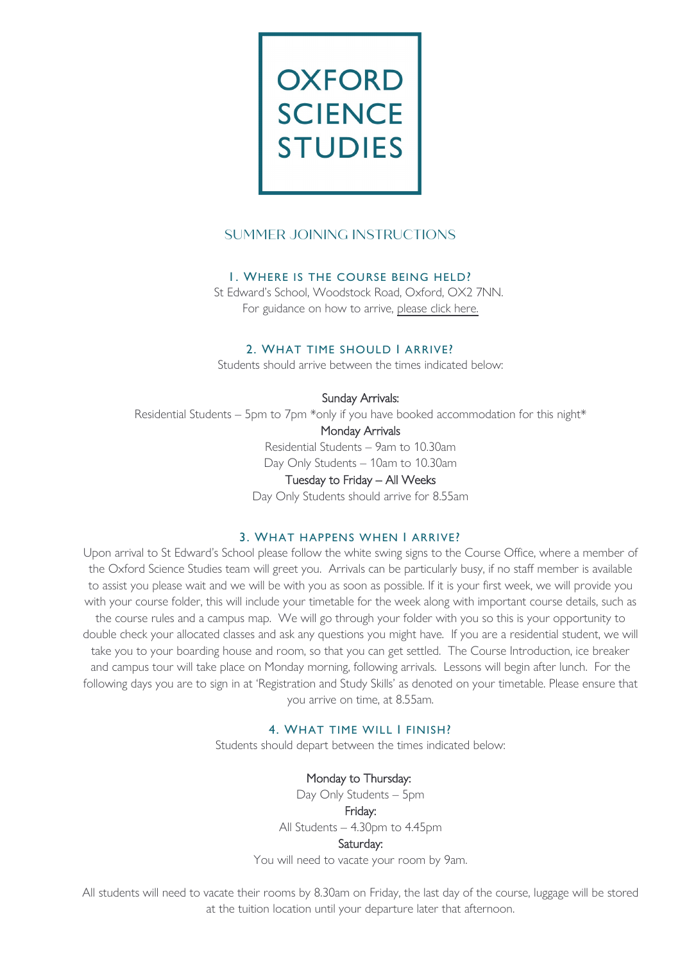

# SUMMER JOINING INSTRUCTIONS

# 1. WHERE IS THE COURSE BEING HELD?

St Edward's School, Woodstock Road, Oxford, OX2 7NN. For guidance on how to arrive, please [click here.](https://oxss.co.uk/experiences/travel/)

#### 2. WHAT TIME SHOULD I ARRIVE?

Students should arrive between the times indicated below:

### Sunday Arrivals:

Residential Students – 5pm to 7pm  $*$ only if you have booked accommodation for this night $*$ 

#### Monday Arrivals

Residential Students – 9am to 10.30am Day Only Students – 10am to 10.30am

#### Tuesday to Friday – All Weeks

Day Only Students should arrive for 8.55am

### 3. WHAT HAPPENS WHEN I ARRIVE?

Upon arrival to St Edward's School please follow the white swing signs to the Course Office, where a member of the Oxford Science Studies team will greet you. Arrivals can be particularly busy, if no staff member is available to assist you please wait and we will be with you as soon as possible. If it is your first week, we will provide you with your course folder, this will include your timetable for the week along with important course details, such as the course rules and a campus map. We will go through your folder with you so this is your opportunity to double check your allocated classes and ask any questions you might have. If you are a residential student, we will take you to your boarding house and room, so that you can get settled. The Course Introduction, ice breaker and campus tour will take place on Monday morning, following arrivals. Lessons will begin after lunch. For the following days you are to sign in at 'Registration and Study Skills' as denoted on your timetable. Please ensure that you arrive on time, at 8.55am.

#### 4. WHAT TIME WILL I FINISH?

Students should depart between the times indicated below:

# Monday to Thursday:

Day Only Students – 5pm Friday: All Students – 4.30pm to 4.45pm Saturday:

You will need to vacate your room by 9am.

All students will need to vacate their rooms by 8.30am on Friday, the last day of the course, luggage will be stored at the tuition location until your departure later that afternoon.